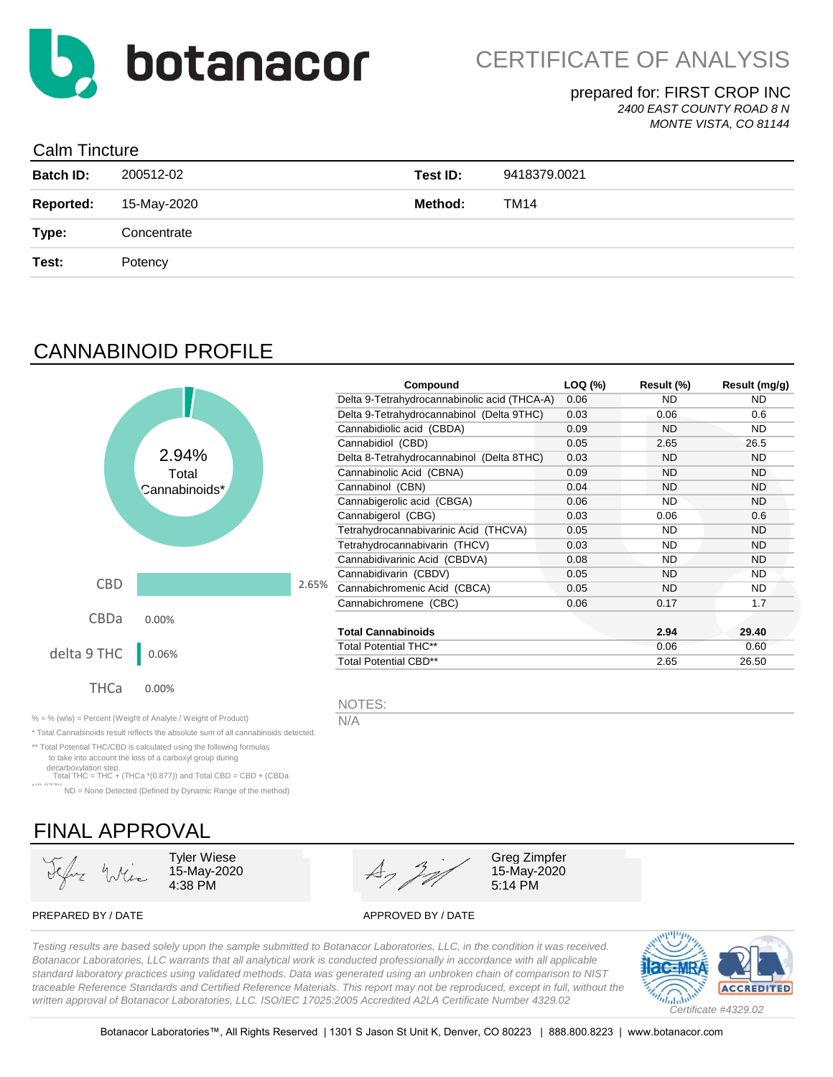

### prepared for: FIRST CROP INC *2400 EAST COUNTY ROAD 8 N*

*MONTE VISTA, CO 81144*

## Calm Tincture

| <b>Batch ID:</b> | 200512-02   | Test ID: | 9418379.0021 |
|------------------|-------------|----------|--------------|
| <b>Reported:</b> | 15-May-2020 | Method:  | TM14         |
| Type:            | Concentrate |          |              |
| Test:            | Potency     |          |              |
|                  |             |          |              |

# CANNABINOID PROFILE

|             |               |       | Compound                                     | LOQ (%) | Result (%) | Result (mg/g) |
|-------------|---------------|-------|----------------------------------------------|---------|------------|---------------|
|             |               |       | Delta 9-Tetrahydrocannabinolic acid (THCA-A) | 0.06    | ND.        | ND.           |
|             |               |       | Delta 9-Tetrahydrocannabinol (Delta 9THC)    | 0.03    | 0.06       | 0.6           |
|             |               |       | Cannabidiolic acid (CBDA)                    | 0.09    | <b>ND</b>  | ND.           |
|             |               |       | Cannabidiol (CBD)                            | 0.05    | 2.65       | 26.5          |
|             | 2.94%         |       | Delta 8-Tetrahydrocannabinol (Delta 8THC)    | 0.03    | <b>ND</b>  | <b>ND</b>     |
|             | Total         |       | Cannabinolic Acid (CBNA)                     | 0.09    | <b>ND</b>  | <b>ND</b>     |
|             | Cannabinoids* |       | Cannabinol (CBN)                             | 0.04    | <b>ND</b>  | <b>ND</b>     |
|             |               |       | Cannabigerolic acid (CBGA)                   | 0.06    | <b>ND</b>  | <b>ND</b>     |
|             |               |       | Cannabigerol (CBG)                           | 0.03    | 0.06       | 0.6           |
|             |               |       | Tetrahydrocannabivarinic Acid (THCVA)        | 0.05    | <b>ND</b>  | <b>ND</b>     |
|             |               |       | Tetrahydrocannabivarin (THCV)                | 0.03    | <b>ND</b>  | <b>ND</b>     |
|             |               |       | Cannabidivarinic Acid (CBDVA)                | 0.08    | <b>ND</b>  | <b>ND</b>     |
|             |               |       | Cannabidivarin (CBDV)                        | 0.05    | <b>ND</b>  | <b>ND</b>     |
| <b>CBD</b>  |               | 2.65% | Cannabichromenic Acid (CBCA)                 | 0.05    | <b>ND</b>  | ND.           |
|             |               |       | Cannabichromene (CBC)                        | 0.06    | 0.17       | 1.7           |
| <b>CBDa</b> | 0.00%         |       |                                              |         |            |               |
|             |               |       | <b>Total Cannabinoids</b>                    |         | 2.94       | 29.40         |
| delta 9 THC |               |       | <b>Total Potential THC**</b>                 |         | 0.06       | 0.60          |
|             | 0.06%         |       | <b>Total Potential CBD**</b>                 |         | 2.65       | 26.50         |
| <b>THCa</b> | 0.00%         |       | NOTES:                                       |         |            |               |

% = % (w/w) = Percent (Weight of Analyte / Weight of Product)  $N/A$ 

\* Total Cannabinoids result reflects the absolute sum of all cannabinoids detected.

\*\* Total Potential THC/CBD is calculated using the following formulas to take into account the loss of a carboxyl group during

decarboxylation step. Total THC = THC + (THCa \*(0.877)) and Total CBD = CBD + (CBDa

\*(0.877)) ND = None Detected (Defined by Dynamic Range of the method)

# FINAL APPROVAL

15-May-2020



15-May-2020

PREPARED BY / DATE APPROVED BY / DATE

*Testing results are based solely upon the sample submitted to Botanacor Laboratories, LLC, in the condition it was received. Botanacor Laboratories, LLC warrants that all analytical work is conducted professionally in accordance with all applicable standard laboratory practices using validated methods. Data was generated using an unbroken chain of comparison to NIST traceable Reference Standards and Certified Reference Materials. This report may not be reproduced, except in full, without the written approval of Botanacor Laboratories, LLC. ISO/IEC 17025:2005 Accredited A2LA Certificate Number 4329.02*

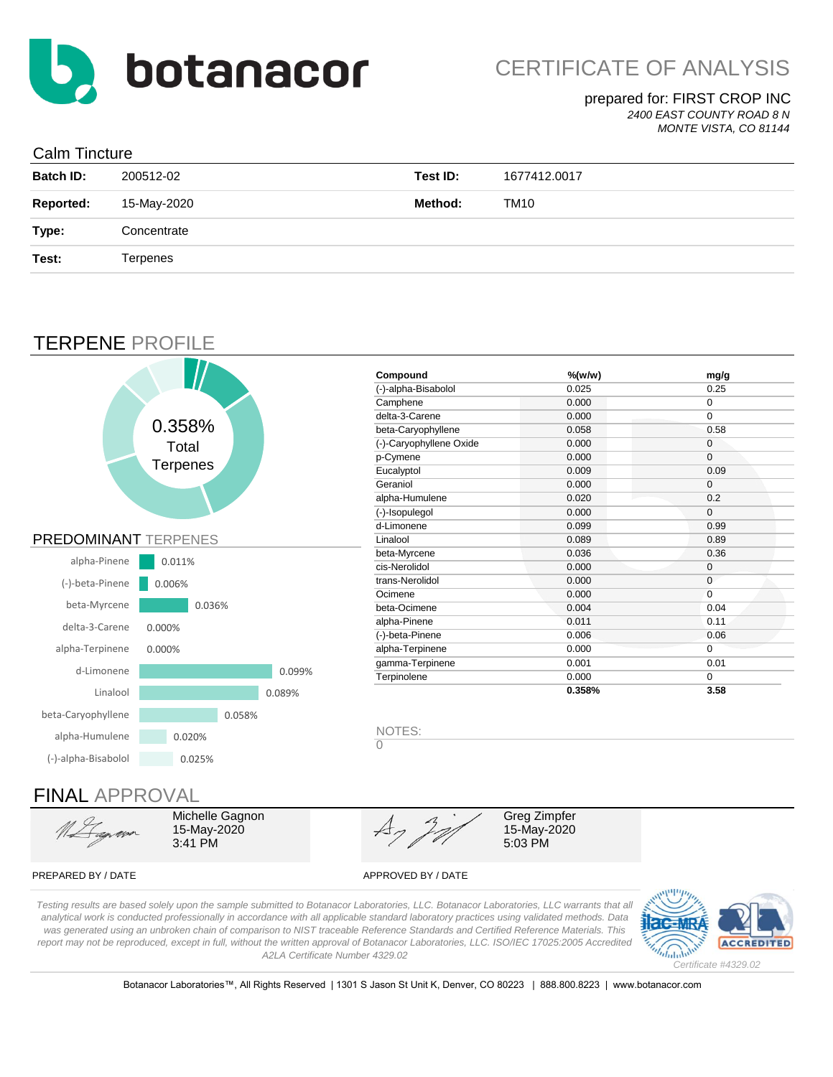

## prepared for: FIRST CROP INC

*2400 EAST COUNTY ROAD 8 N MONTE VISTA, CO 81144*

### Calm Tincture

| _ _ _ _ _ _ _ _ _ _ _ _ _ |                 |          |              |
|---------------------------|-----------------|----------|--------------|
| <b>Batch ID:</b>          | 200512-02       | Test ID: | 1677412.0017 |
| <b>Reported:</b>          | 15-May-2020     | Method:  | TM10         |
| Type:                     | Concentrate     |          |              |
| Test:                     | <b>Terpenes</b> |          |              |
|                           |                 |          |              |

## TERPENE PROFILE



### PREPARED BY / DATE APPROVED BY / DATE

*Testing results are based solely upon the sample submitted to Botanacor Laboratories, LLC. Botanacor Laboratories, LLC warrants that all analytical work is conducted professionally in accordance with all applicable standard laboratory practices using validated methods. Data was generated using an unbroken chain of comparison to NIST traceable Reference Standards and Certified Reference Materials. This report may not be reproduced, except in full, without the written approval of Botanacor Laboratories, LLC. ISO/IEC 17025:2005 Accredited A2LA Certificate Number 4329.02*